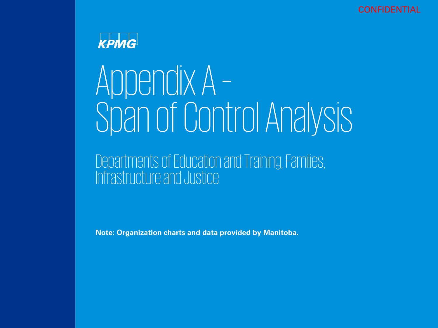CONFIDENTIAL



# Appendix A – Span of Control Analysis

### Departments of Education and Training, Families, Infrastructure and Justice

**Note: Organization charts and data provided by Manitoba.**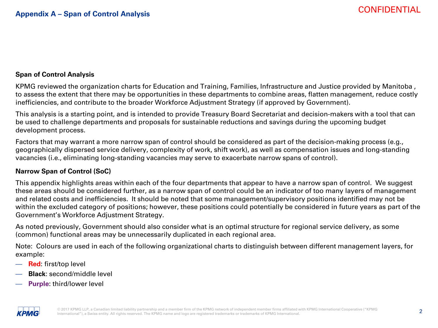### **Span of Control Analysis**

KPMG reviewed the organization charts for Education and Training, Families, Infrastructure and Justice provided by Manitoba , to assess the extent that there may be opportunities in these departments to combine areas, flatten management, reduce costly inefficiencies, and contribute to the broader Workforce Adjustment Strategy (if approved by Government).

This analysis is a starting point, and is intended to provide Treasury Board Secretariat and decision-makers with a tool that can be used to challenge departments and proposals for sustainable reductions and savings during the upcoming budget development process.

Factors that may warrant a more narrow span of control should be considered as part of the decision-making process (e.g., geographically dispersed service delivery, complexity of work, shift work), as well as compensation issues and long-standing vacancies (i.e., eliminating long-standing vacancies may serve to exacerbate narrow spans of control).

#### **Narrow Span of Control (SoC)**

This appendix highlights areas within each of the four departments that appear to have a narrow span of control. We suggest these areas should be considered further, as a narrow span of control could be an indicator of too many layers of management and related costs and inefficiencies. It should be noted that some management/supervisory positions identified may not be within the excluded category of positions; however, these positions could potentially be considered in future years as part of the Government's Workforce Adjustment Strategy.

As noted previously, Government should also consider what is an optimal structure for regional service delivery, as some (common) functional areas may be unnecessarily duplicated in each regional area.

Note: Colours are used in each of the following organizational charts to distinguish between different management layers, for example:

- **Red**: first/top level
- **Black**: second/middle level
- **Purple**: third/lower level

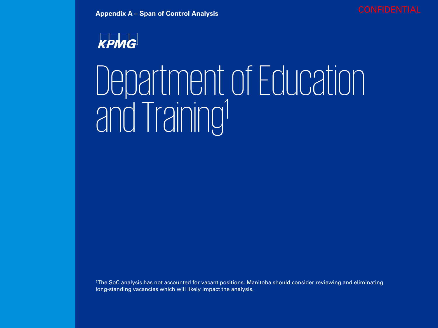



### Department of Education and Training1

1The SoC analysis has not accounted for vacant positions. Manitoba should consider reviewing and eliminating long-standing vacancies which will likely impact the analysis.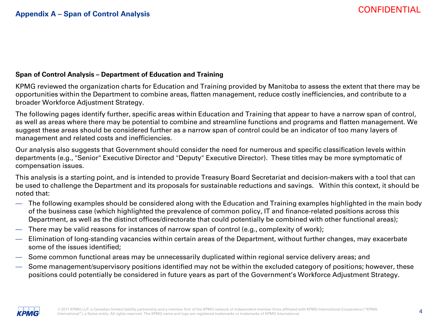### **Span of Control Analysis – Department of Education and Training**

KPMG reviewed the organization charts for Education and Training provided by Manitoba to assess the extent that there may be opportunities within the Department to combine areas, flatten management, reduce costly inefficiencies, and contribute to a broader Workforce Adjustment Strategy.

The following pages identify further, specific areas within Education and Training that appear to have a narrow span of control, as well as areas where there may be potential to combine and streamline functions and programs and flatten management. We suggest these areas should be considered further as a narrow span of control could be an indicator of too many layers of management and related costs and inefficiencies.

Our analysis also suggests that Government should consider the need for numerous and specific classification levels within departments (e.g., "Senior" Executive Director and "Deputy" Executive Director). These titles may be more symptomatic of compensation issues.

This analysis is a starting point, and is intended to provide Treasury Board Secretariat and decision-makers with a tool that can be used to challenge the Department and its proposals for sustainable reductions and savings. Within this context, it should be noted that:

- The following examples should be considered along with the Education and Training examples highlighted in the main body of the business case (which highlighted the prevalence of common policy, IT and finance-related positions across this Department, as well as the distinct offices/directorate that could potentially be combined with other functional areas);
- There may be valid reasons for instances of narrow span of control (e.g., complexity of work);
- Elimination of long-standing vacancies within certain areas of the Department, without further changes, may exacerbate some of the issues identified;
- Some common functional areas may be unnecessarily duplicated within regional service delivery areas; and
- Some management/supervisory positions identified may not be within the excluded category of positions; however, these positions could potentially be considered in future years as part of the Government's Workforce Adjustment Strategy.

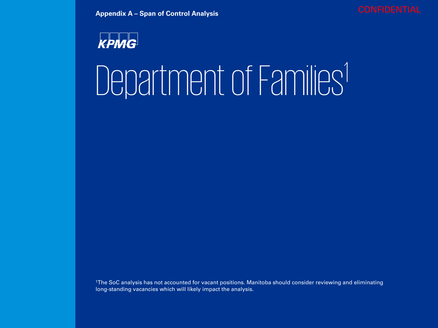

## Department of Families<sup>1</sup>

1The SoC analysis has not accounted for vacant positions. Manitoba should consider reviewing and eliminating long-standing vacancies which will likely impact the analysis.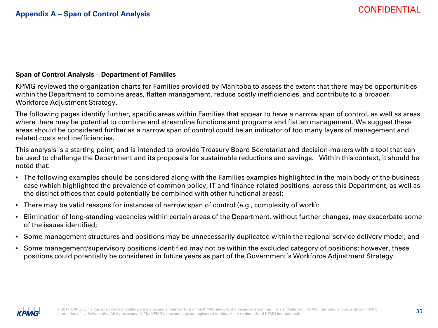#### **Span of Control Analysis – Department of Families**

KPMG reviewed the organization charts for Families provided by Manitoba to assess the extent that there may be opportunities within the Department to combine areas, flatten management, reduce costly inefficiencies, and contribute to a broader Workforce Adjustment Strategy.

The following pages identify further, specific areas within Families that appear to have a narrow span of control, as well as areas where there may be potential to combine and streamline functions and programs and flatten management. We suggest these areas should be considered further as a narrow span of control could be an indicator of too many layers of management and related costs and inefficiencies.

This analysis is a starting point, and is intended to provide Treasury Board Secretariat and decision-makers with a tool that can be used to challenge the Department and its proposals for sustainable reductions and savings. Within this context, it should be noted that:

- The following examples should be considered along with the Families examples highlighted in the main body of the business case (which highlighted the prevalence of common policy, IT and finance-related positions across this Department, as well as the distinct offices that could potentially be combined with other functional areas);
- There may be valid reasons for instances of narrow span of control (e.g., complexity of work);
- Elimination of long-standing vacancies within certain areas of the Department, without further changes, may exacerbate some of the issues identified;
- Some management structures and positions may be unnecessarily duplicated within the regional service delivery model; and
- Some management/supervisory positions identified may not be within the excluded category of positions; however, these positions could potentially be considered in future years as part of the Government's Workforce Adjustment Strategy.

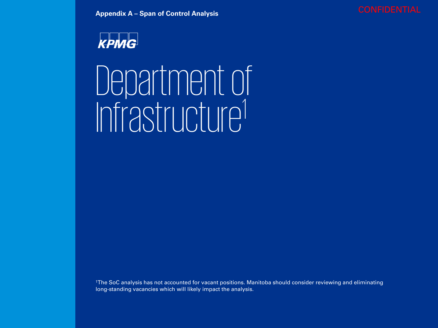



### Department of Infrastructure1

1The SoC analysis has not accounted for vacant positions. Manitoba should consider reviewing and eliminating long-standing vacancies which will likely impact the analysis.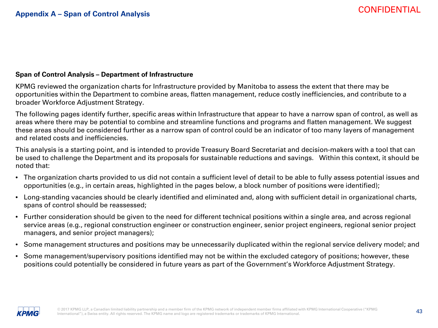### **Span of Control Analysis – Department of Infrastructure**

KPMG reviewed the organization charts for Infrastructure provided by Manitoba to assess the extent that there may be opportunities within the Department to combine areas, flatten management, reduce costly inefficiencies, and contribute to a broader Workforce Adjustment Strategy.

The following pages identify further, specific areas within Infrastructure that appear to have a narrow span of control, as well as areas where there may be potential to combine and streamline functions and programs and flatten management. We suggest these areas should be considered further as a narrow span of control could be an indicator of too many layers of management and related costs and inefficiencies.

This analysis is a starting point, and is intended to provide Treasury Board Secretariat and decision-makers with a tool that can be used to challenge the Department and its proposals for sustainable reductions and savings. Within this context, it should be noted that:

- The organization charts provided to us did not contain a sufficient level of detail to be able to fully assess potential issues and opportunities (e.g., in certain areas, highlighted in the pages below, a block number of positions were identified);
- Long-standing vacancies should be clearly identified and eliminated and, along with sufficient detail in organizational charts, spans of control should be reassessed;
- Further consideration should be given to the need for different technical positions within a single area, and across regional service areas (e.g., regional construction engineer or construction engineer, senior project engineers, regional senior project managers, and senior project managers);
- Some management structures and positions may be unnecessarily duplicated within the regional service delivery model; and
- Some management/supervisory positions identified may not be within the excluded category of positions; however, these positions could potentially be considered in future years as part of the Government's Workforce Adjustment Strategy.

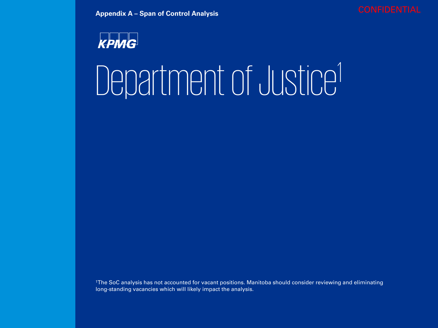

## Department of Justice<sup>1</sup>

1The SoC analysis has not accounted for vacant positions. Manitoba should consider reviewing and eliminating long-standing vacancies which will likely impact the analysis.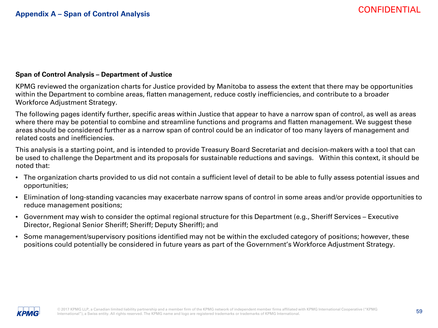#### **Span of Control Analysis – Department of Justice**

KPMG reviewed the organization charts for Justice provided by Manitoba to assess the extent that there may be opportunities within the Department to combine areas, flatten management, reduce costly inefficiencies, and contribute to a broader Workforce Adjustment Strategy.

The following pages identify further, specific areas within Justice that appear to have a narrow span of control, as well as areas where there may be potential to combine and streamline functions and programs and flatten management. We suggest these areas should be considered further as a narrow span of control could be an indicator of too many layers of management and related costs and inefficiencies.

This analysis is a starting point, and is intended to provide Treasury Board Secretariat and decision-makers with a tool that can be used to challenge the Department and its proposals for sustainable reductions and savings. Within this context, it should be noted that:

- The organization charts provided to us did not contain a sufficient level of detail to be able to fully assess potential issues and opportunities;
- Elimination of long-standing vacancies may exacerbate narrow spans of control in some areas and/or provide opportunities to reduce management positions;
- Government may wish to consider the optimal regional structure for this Department (e.g., Sheriff Services Executive Director, Regional Senior Sheriff; Sheriff; Deputy Sheriff); and
- Some management/supervisory positions identified may not be within the excluded category of positions; however, these positions could potentially be considered in future years as part of the Government's Workforce Adjustment Strategy.

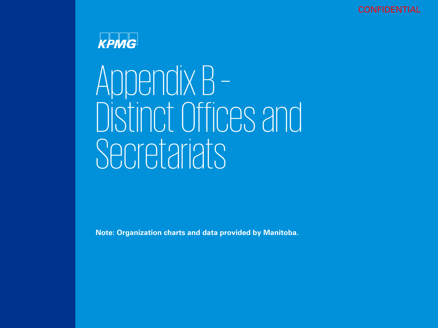



# Appendix B –<br>Distinct Offices and Secretariats

**Note: Organization charts and data provided by Manitoba.**